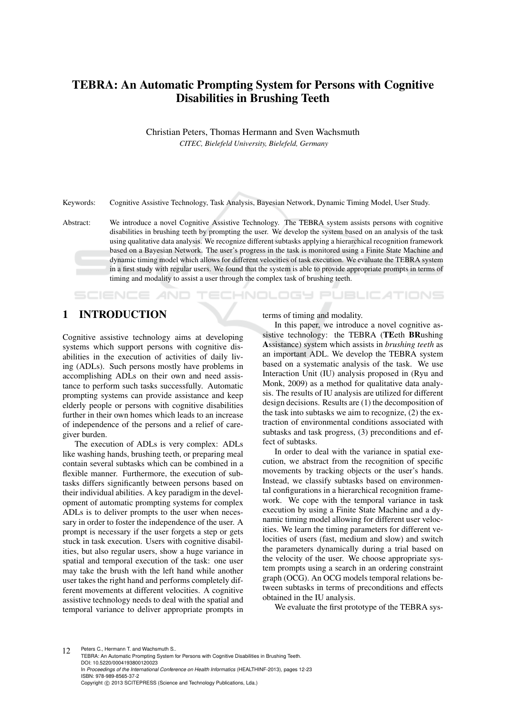# TEBRA: An Automatic Prompting System for Persons with Cognitive Disabilities in Brushing Teeth

Christian Peters, Thomas Hermann and Sven Wachsmuth *CITEC, Bielefeld University, Bielefeld, Germany*

Keywords: Cognitive Assistive Technology, Task Analysis, Bayesian Network, Dynamic Timing Model, User Study.

# 1 INTRODUCTION

SCIENCE *AND* 

Cognitive assistive technology aims at developing systems which support persons with cognitive disabilities in the execution of activities of daily living (ADLs). Such persons mostly have problems in accomplishing ADLs on their own and need assistance to perform such tasks successfully. Automatic prompting systems can provide assistance and keep elderly people or persons with cognitive disabilities further in their own homes which leads to an increase of independence of the persons and a relief of caregiver burden.

The execution of ADLs is very complex: ADLs like washing hands, brushing teeth, or preparing meal contain several subtasks which can be combined in a flexible manner. Furthermore, the execution of subtasks differs significantly between persons based on their individual abilities. A key paradigm in the development of automatic prompting systems for complex ADLs is to deliver prompts to the user when necessary in order to foster the independence of the user. A prompt is necessary if the user forgets a step or gets stuck in task execution. Users with cognitive disabilities, but also regular users, show a huge variance in spatial and temporal execution of the task: one user may take the brush with the left hand while another user takes the right hand and performs completely different movements at different velocities. A cognitive assistive technology needs to deal with the spatial and temporal variance to deliver appropriate prompts in terms of timing and modality.

TECHNOLOGY PUBLICATIONS

In this paper, we introduce a novel cognitive assistive technology: the TEBRA (TEeth BRushing Assistance) system which assists in *brushing teeth* as an important ADL. We develop the TEBRA system based on a systematic analysis of the task. We use Interaction Unit (IU) analysis proposed in (Ryu and Monk, 2009) as a method for qualitative data analysis. The results of IU analysis are utilized for different design decisions. Results are (1) the decomposition of the task into subtasks we aim to recognize, (2) the extraction of environmental conditions associated with subtasks and task progress, (3) preconditions and effect of subtasks.

In order to deal with the variance in spatial execution, we abstract from the recognition of specific movements by tracking objects or the user's hands. Instead, we classify subtasks based on environmental configurations in a hierarchical recognition framework. We cope with the temporal variance in task execution by using a Finite State Machine and a dynamic timing model allowing for different user velocities. We learn the timing parameters for different velocities of users (fast, medium and slow) and switch the parameters dynamically during a trial based on the velocity of the user. We choose appropriate system prompts using a search in an ordering constraint graph (OCG). An OCG models temporal relations between subtasks in terms of preconditions and effects obtained in the IU analysis.

We evaluate the first prototype of the TEBRA sys-

12 Peters C., Hermann T. and Wachsmuth S.. TEBRA: An Automatic Prompting System for Persons with Cognitive Disabilities in Brushing Teeth. DOI: 10.5220/0004193800120023 In *Proceedings of the International Conference on Health Informatics* (HEALTHINF-2013), pages 12-23 ISBN: 978-989-8565-37-2 Copyright © 2013 SCITEPRESS (Science and Technology Publications, Lda.)

Abstract: We introduce a novel Cognitive Assistive Technology. The TEBRA system assists persons with cognitive disabilities in brushing teeth by prompting the user. We develop the system based on an analysis of the task using qualitative data analysis. We recognize different subtasks applying a hierarchical recognition framework based on a Bayesian Network. The user's progress in the task is monitored using a Finite State Machine and dynamic timing model which allows for different velocities of task execution. We evaluate the TEBRA system in a first study with regular users. We found that the system is able to provide appropriate prompts in terms of timing and modality to assist a user through the complex task of brushing teeth.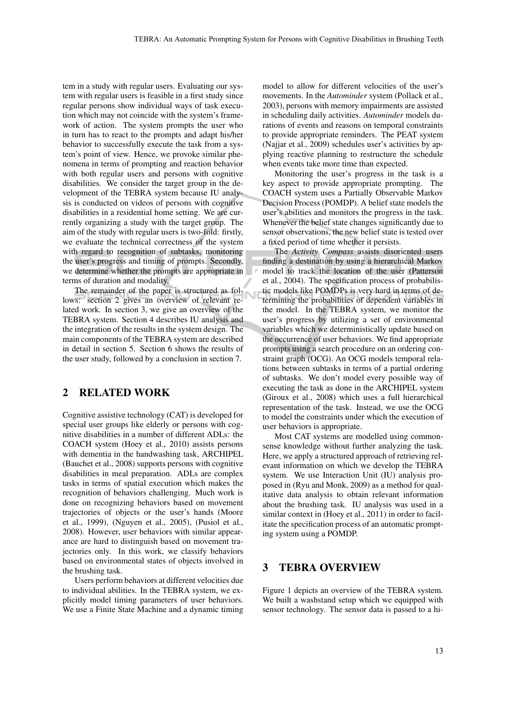tem in a study with regular users. Evaluating our system with regular users is feasible in a first study since regular persons show individual ways of task execution which may not coincide with the system's framework of action. The system prompts the user who in turn has to react to the prompts and adapt his/her behavior to successfully execute the task from a system's point of view. Hence, we provoke similar phenomena in terms of prompting and reaction behavior with both regular users and persons with cognitive disabilities. We consider the target group in the development of the TEBRA system because IU analysis is conducted on videos of persons with cognitive disabilities in a residential home setting. We are currently organizing a study with the target group. The aim of the study with regular users is two-fold: firstly, we evaluate the technical correctness of the system with regard to recognition of subtasks, monitoring the user's progress and timing of prompts. Secondly, we determine whether the prompts are appropriate in terms of duration and modality.

The remainder of the paper is structured as follows: section 2 gives an overview of relevant related work. In section 3, we give an overview of the TEBRA system. Section 4 describes IU analysis and the integration of the results in the system design. The main components of the TEBRA system are described in detail in section 5. Section 6 shows the results of the user study, followed by a conclusion in section 7.

## 2 RELATED WORK

Cognitive assistive technology (CAT) is developed for special user groups like elderly or persons with cognitive disabilities in a number of different ADLs: the COACH system (Hoey et al., 2010) assists persons with dementia in the handwashing task, ARCHIPEL (Bauchet et al., 2008) supports persons with cognitive disabilities in meal preparation. ADLs are complex tasks in terms of spatial execution which makes the recognition of behaviors challenging. Much work is done on recognizing behaviors based on movement trajectories of objects or the user's hands (Moore et al., 1999), (Nguyen et al., 2005), (Pusiol et al., 2008). However, user behaviors with similar appearance are hard to distinguish based on movement trajectories only. In this work, we classify behaviors based on environmental states of objects involved in the brushing task.

Users perform behaviors at different velocities due to individual abilities. In the TEBRA system, we explicitly model timing parameters of user behaviors. We use a Finite State Machine and a dynamic timing model to allow for different velocities of the user's movements. In the *Autominder* system (Pollack et al., 2003), persons with memory impairments are assisted in scheduling daily activities. *Autominder* models durations of events and reasons on temporal constraints to provide appropriate reminders. The PEAT system (Najjar et al., 2009) schedules user's activities by applying reactive planning to restructure the schedule when events take more time than expected.

Monitoring the user's progress in the task is a key aspect to provide appropriate prompting. The COACH system uses a Partially Observable Markov Decision Process (POMDP). A belief state models the user's abilities and monitors the progress in the task. Whenever the belief state changes significantly due to sensor observations, the new belief state is tested over a fixed period of time whether it persists.

The *Activity Compass* assists disoriented users finding a destination by using a hierarchical Markov model to track the location of the user (Patterson et al., 2004). The specification process of probabilistic models like POMDPs is very hard in terms of determining the probabilities of dependent variables in the model. In the TEBRA system, we monitor the user's progress by utilizing a set of environmental variables which we deterministically update based on the occurrence of user behaviors. We find appropriate prompts using a search procedure on an ordering constraint graph (OCG). An OCG models temporal relations between subtasks in terms of a partial ordering of subtasks. We don't model every possible way of executing the task as done in the ARCHIPEL system (Giroux et al., 2008) which uses a full hierarchical representation of the task. Instead, we use the OCG to model the constraints under which the execution of user behaviors is appropriate.

Most CAT systems are modelled using commonsense knowledge without further analyzing the task. Here, we apply a structured approach of retrieving relevant information on which we develop the TEBRA system. We use Interaction Unit (IU) analysis proposed in (Ryu and Monk, 2009) as a method for qualitative data analysis to obtain relevant information about the brushing task. IU analysis was used in a similar context in (Hoey et al., 2011) in order to facilitate the specification process of an automatic prompting system using a POMDP.

### 3 TEBRA OVERVIEW

Figure 1 depicts an overview of the TEBRA system. We built a washstand setup which we equipped with sensor technology. The sensor data is passed to a hi-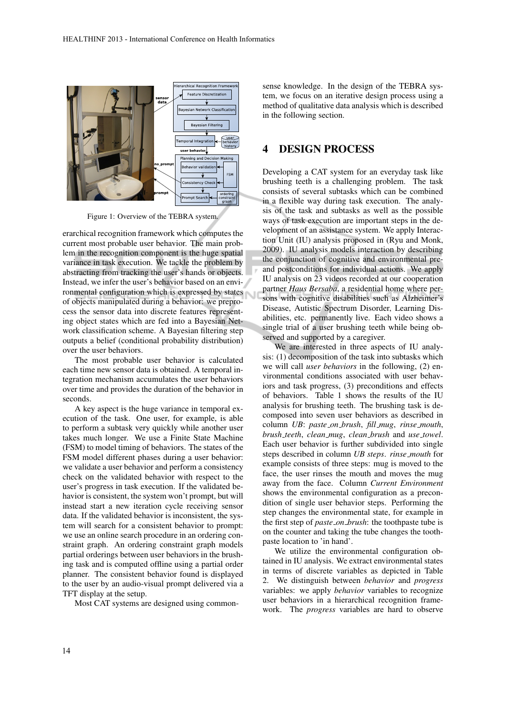

Figure 1: Overview of the TEBRA system.

erarchical recognition framework which computes the current most probable user behavior. The main problem in the recognition component is the huge spatial variance in task execution. We tackle the problem by abstracting from tracking the user's hands or objects. Instead, we infer the user's behavior based on an environmental configuration which is expressed by states of objects manipulated during a behavior: we preprocess the sensor data into discrete features representing object states which are fed into a Bayesian Network classification scheme. A Bayesian filtering step outputs a belief (conditional probability distribution) over the user behaviors.

The most probable user behavior is calculated each time new sensor data is obtained. A temporal integration mechanism accumulates the user behaviors over time and provides the duration of the behavior in seconds.

A key aspect is the huge variance in temporal execution of the task. One user, for example, is able to perform a subtask very quickly while another user takes much longer. We use a Finite State Machine (FSM) to model timing of behaviors. The states of the FSM model different phases during a user behavior: we validate a user behavior and perform a consistency check on the validated behavior with respect to the user's progress in task execution. If the validated behavior is consistent, the system won't prompt, but will instead start a new iteration cycle receiving sensor data. If the validated behavior is inconsistent, the system will search for a consistent behavior to prompt: we use an online search procedure in an ordering constraint graph. An ordering constraint graph models partial orderings between user behaviors in the brushing task and is computed offline using a partial order planner. The consistent behavior found is displayed to the user by an audio-visual prompt delivered via a TFT display at the setup.

Most CAT systems are designed using common-

sense knowledge. In the design of the TEBRA system, we focus on an iterative design process using a method of qualitative data analysis which is described in the following section.

## 4 DESIGN PROCESS

Developing a CAT system for an everyday task like brushing teeth is a challenging problem. The task consists of several subtasks which can be combined in a flexible way during task execution. The analysis of the task and subtasks as well as the possible ways of task execution are important steps in the development of an assistance system. We apply Interaction Unit (IU) analysis proposed in (Ryu and Monk, 2009). IU analysis models interaction by describing the conjunction of cognitive and environmental preand postconditions for individual actions. We apply IU analysis on 23 videos recorded at our cooperation partner *Haus Bersaba*, a residential home where persons with cognitive disabilities such as Alzheimer's Disease, Autistic Spectrum Disorder, Learning Disabilities, etc. permanently live. Each video shows a single trial of a user brushing teeth while being observed and supported by a caregiver.

We are interested in three aspects of IU analysis: (1) decomposition of the task into subtasks which we will call *user behaviors* in the following, (2) environmental conditions associated with user behaviors and task progress, (3) preconditions and effects of behaviors. Table 1 shows the results of the IU analysis for brushing teeth. The brushing task is decomposed into seven user behaviors as described in column *UB*: *paste on brush*, *fill mug*, *rinse mouth*, *brush teeth*, *clean mug*, *clean brush* and *use towel*. Each user behavior is further subdivided into single steps described in column *UB steps*. *rinse mouth* for example consists of three steps: mug is moved to the face, the user rinses the mouth and moves the mug away from the face. Column *Current Environment* shows the environmental configuration as a precondition of single user behavior steps. Performing the step changes the environmental state, for example in the first step of *paste on brush*: the toothpaste tube is on the counter and taking the tube changes the toothpaste location to 'in hand'.

We utilize the environmental configuration obtained in IU analysis. We extract environmental states in terms of discrete variables as depicted in Table 2. We distinguish between *behavior* and *progress* variables: we apply *behavior* variables to recognize user behaviors in a hierarchical recognition framework. The *progress* variables are hard to observe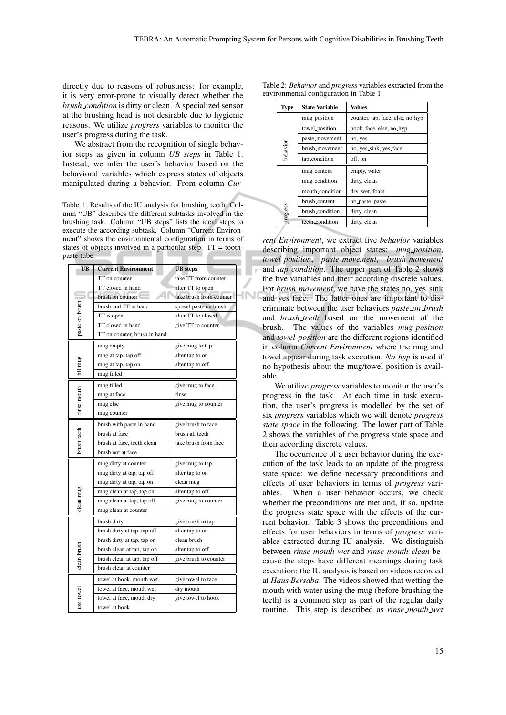directly due to reasons of robustness: for example, it is very error-prone to visually detect whether the *brush condition* is dirty or clean. A specialized sensor at the brushing head is not desirable due to hygienic reasons. We utilize *progress* variables to monitor the user's progress during the task.

We abstract from the recognition of single behavior steps as given in column *UB steps* in Table 1. Instead, we infer the user's behavior based on the behavioral variables which express states of objects manipulated during a behavior. From column *Cur-*

Table 1: Results of the IU analysis for brushing teeth. Column "UB" describes the different subtasks involved in the brushing task. Column "UB steps" lists the ideal steps to execute the according subtask. Column "Current Environment" shows the environmental configuration in terms of states of objects involved in a particular step. TT = toothpaste tube.

| UB             | <b>Current Environment</b>   | <b>UB</b> steps         |  |  |  |
|----------------|------------------------------|-------------------------|--|--|--|
|                | TT on counter                | take TT from counter    |  |  |  |
| paste_on_brush | TT closed in hand            | alter TT to open        |  |  |  |
|                | brush on counter             | take brush from counter |  |  |  |
|                | brush and TT in hand         | spread paste on brush   |  |  |  |
|                | TT is open                   | alter TT to closed      |  |  |  |
|                | TT closed in hand            | give TT to counter      |  |  |  |
|                | TT on counter, brush in hand |                         |  |  |  |
|                | mug empty                    | give mug to tap         |  |  |  |
|                | mug at tap, tap off          | alter tap to on         |  |  |  |
| fill_mug       | mug at tap, tap on           | alter tap to off        |  |  |  |
|                | mug filled                   |                         |  |  |  |
|                | mug filled                   | give mug to face        |  |  |  |
| rinse_mouth    | mug at face                  | rinse                   |  |  |  |
|                | mug else                     | give mug to counter     |  |  |  |
|                | mug counter                  |                         |  |  |  |
|                | brush with paste in hand     | give brush to face      |  |  |  |
| brush_teeth    | brush at face                | brush all teeth         |  |  |  |
|                | brush at face, teeth clean   | take brush from face    |  |  |  |
|                | brush not at face            |                         |  |  |  |
|                | mug dirty at counter         | give mug to tap         |  |  |  |
|                | mug dirty at tap, tap off    | alter tap to on         |  |  |  |
|                | mug dirty at tap, tap on     | clean mug               |  |  |  |
|                | mug clean at tap, tap on     | alter tap to off        |  |  |  |
| clean_mug      | mug clean at tap, tap off    | give mug to counter     |  |  |  |
|                | mug clean at counter         |                         |  |  |  |
|                | brush dirty                  | give brush to tap       |  |  |  |
|                | brush dirty at tap, tap off  | alter tap to on         |  |  |  |
| clean_brush    | brush dirty at tap, tap on   | clean brush             |  |  |  |
|                | brush clean at tap, tap on   | alter tap to off        |  |  |  |
|                | brush clean at tap, tap off  | give brush to counter   |  |  |  |
|                | brush clean at counter       |                         |  |  |  |
|                | towel at hook, mouth wet     | give towel to face      |  |  |  |
|                | towel at face, mouth wet     | dry mouth               |  |  |  |
| use_towel      | towel at face, mouth dry     | give towel to hook      |  |  |  |
|                | towel at hook                |                         |  |  |  |

| Table 2: Behavior and progress variables extracted from the |  |
|-------------------------------------------------------------|--|
| environmental configuration in Table 1.                     |  |

| <b>Type</b> | <b>State Variable</b> | Values                           |  |  |
|-------------|-----------------------|----------------------------------|--|--|
|             | mug_position          | counter, tap, face, else, no_hyp |  |  |
|             | towel_position        | hook, face, else, no_hyp         |  |  |
|             | paste_movement        | no, yes                          |  |  |
| behavior    | brush_movement        | no, yes_sink, yes_face           |  |  |
|             | tap_condition         | off, on                          |  |  |
|             | mug_content           | empty, water                     |  |  |
|             | mug_condition         | dirty, clean                     |  |  |
|             | mouth_condition       | dry, wet, foam                   |  |  |
| progress    | brush_content         | no_paste, paste                  |  |  |
|             | brush_condition       | dirty, clean                     |  |  |
|             | teeth_condition       | dirty, clean                     |  |  |

*rent Environment*, we extract five *behavior* variables describing important object states: *mug position*, *towel position*, *paste movement*, *brush movement* and *tap condition*. The upper part of Table 2 shows the five variables and their according discrete values. For *brush\_movement*, we have the states no, yes\_sink and yes face. The latter ones are important to discriminate between the user behaviors *paste on brush* and *brush teeth* based on the movement of the brush. The values of the variables *mug position* and *towel position* are the different regions identified in column *Current Environment* where the mug and towel appear during task execution. *No hyp* is used if no hypothesis about the mug/towel position is available.

We utilize *progress* variables to monitor the user's progress in the task. At each time in task execution, the user's progress is modelled by the set of six *progress* variables which we will denote *progress state space* in the following. The lower part of Table 2 shows the variables of the progress state space and their according discrete values.

The occurrence of a user behavior during the execution of the task leads to an update of the progress state space: we define necessary preconditions and effects of user behaviors in terms of *progress* variables. When a user behavior occurs, we check whether the preconditions are met and, if so, update the progress state space with the effects of the current behavior. Table 3 shows the preconditions and effects for user behaviors in terms of *progress* variables extracted during IU analysis. We distinguish between *rinse mouth wet* and *rinse mouth clean* because the steps have different meanings during task execution: the IU analysis is based on videos recorded at *Haus Bersaba*. The videos showed that wetting the mouth with water using the mug (before brushing the teeth) is a common step as part of the regular daily routine. This step is described as *rinse mouth wet*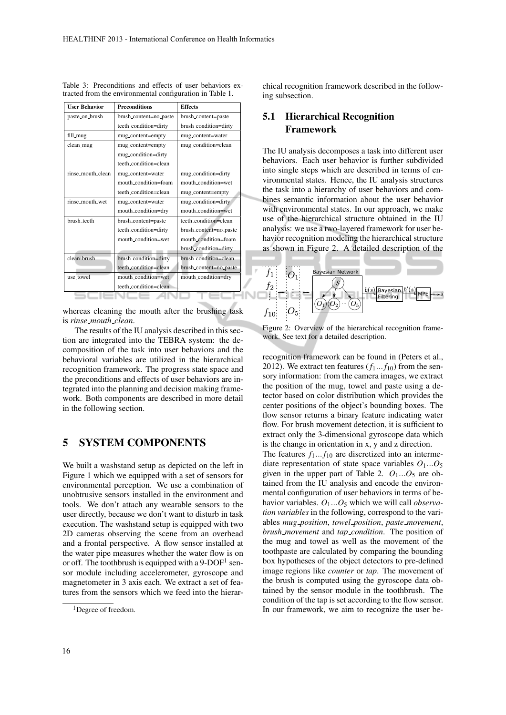| <b>User Behavior</b> | <b>Preconditions</b>   | <b>Effects</b>         |
|----------------------|------------------------|------------------------|
| paste_on_brush       | brush_content=no_paste | brush_content=paste    |
|                      | teeth_condition=dirty  | brush_condition=dirty  |
| fill_mug             | mug_content=empty      | mug_content=water      |
| clean_mug            | mug_content=empty      | mug_condition=clean    |
|                      | mug_condition=dirty    |                        |
|                      | teeth_condition=clean  |                        |
| rinse mouth clean    | mug_content=water      | mug_condition=dirty    |
|                      | mouth_condition=foam   | mouth_condition=wet    |
|                      | teeth_condition=clean  | mug_content=empty      |
| rinse mouth wet      | mug_content=water      | mug_condition=dirty    |
|                      | mouth_condition=dry    | mouth condition=wet    |
| brush_teeth          | brush_content=paste    | teeth_condition=clean  |
|                      | teeth_condition=dirty  | brush_content=no_paste |
|                      | mouth condition=wet    | mouth condition=foam   |
|                      |                        | brush_condition=dirty  |
| clean_brush          | brush_condition=dirty  | brush_condition=clean  |
|                      | teeth_condition=clean  | brush_content=no_paste |
| use_towel            | mouth condition=wet    | mouth_condition=dry    |
|                      | teeth_condition=clean  |                        |
|                      |                        |                        |

Table 3: Preconditions and effects of user behaviors extracted from the environmental configuration in Table 1.

whereas cleaning the mouth after the brushing task is *rinse mouth clean*.

The results of the IU analysis described in this section are integrated into the TEBRA system: the decomposition of the task into user behaviors and the behavioral variables are utilized in the hierarchical recognition framework. The progress state space and the preconditions and effects of user behaviors are integrated into the planning and decision making framework. Both components are described in more detail in the following section.

# 5 SYSTEM COMPONENTS

We built a washstand setup as depicted on the left in Figure 1 which we equipped with a set of sensors for environmental perception. We use a combination of unobtrusive sensors installed in the environment and tools. We don't attach any wearable sensors to the user directly, because we don't want to disturb in task execution. The washstand setup is equipped with two 2D cameras observing the scene from an overhead and a frontal perspective. A flow sensor installed at the water pipe measures whether the water flow is on or off. The toothbrush is equipped with a 9-DOF<sup>1</sup> sensor module including accelerometer, gyroscope and magnetometer in 3 axis each. We extract a set of features from the sensors which we feed into the hierarchical recognition framework described in the following subsection.

## 5.1 Hierarchical Recognition Framework

The IU analysis decomposes a task into different user behaviors. Each user behavior is further subdivided into single steps which are described in terms of environmental states. Hence, the IU analysis structures the task into a hierarchy of user behaviors and combines semantic information about the user behavior with environmental states. In our approach, we make use of the hierarchical structure obtained in the IU analysis: we use a two-layered framework for user behavior recognition modeling the hierarchical structure as shown in Figure 2. A detailed description of the



Figure 2: Overview of the hierarchical recognition framework. See text for a detailed description.

recognition framework can be found in (Peters et al., 2012). We extract ten features  $(f_1... f_{10})$  from the sensory information: from the camera images, we extract the position of the mug, towel and paste using a detector based on color distribution which provides the center positions of the object's bounding boxes. The flow sensor returns a binary feature indicating water flow. For brush movement detection, it is sufficient to extract only the 3-dimensional gyroscope data which is the change in orientation in x, y and z direction.

The features  $f_1...f_{10}$  are discretized into an intermediate representation of state space variables  $O_1...O_5$ given in the upper part of Table 2.  $O_1...O_5$  are obtained from the IU analysis and encode the environmental configuration of user behaviors in terms of behavior variables. *O*1...*O*<sup>5</sup> which we will call *observation variables* in the following, correspond to the variables *mug position*, *towel position*, *paste movement*, *brush movement* and *tap condition*. The position of the mug and towel as well as the movement of the toothpaste are calculated by comparing the bounding box hypotheses of the object detectors to pre-defined image regions like *counter* or *tap*. The movement of the brush is computed using the gyroscope data obtained by the sensor module in the toothbrush. The condition of the tap is set according to the flow sensor. In our framework, we aim to recognize the user be-

<sup>&</sup>lt;sup>1</sup>Degree of freedom.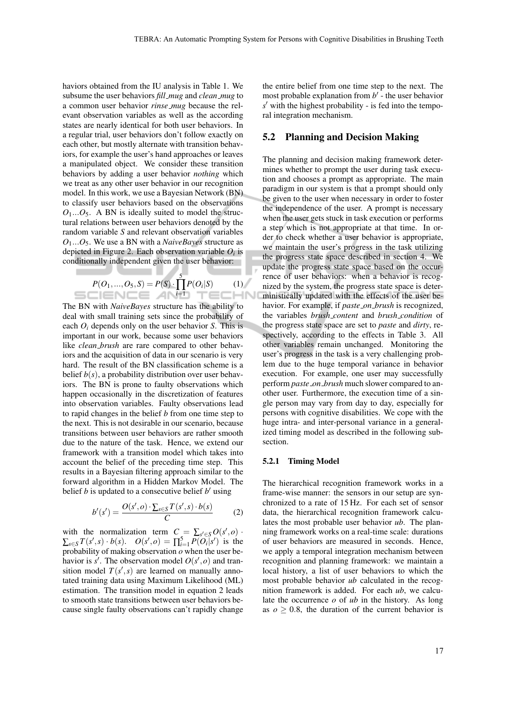haviors obtained from the IU analysis in Table 1. We subsume the user behaviors *fill mug* and *clean mug* to a common user behavior *rinse mug* because the relevant observation variables as well as the according states are nearly identical for both user behaviors. In a regular trial, user behaviors don't follow exactly on each other, but mostly alternate with transition behaviors, for example the user's hand approaches or leaves a manipulated object. We consider these transition behaviors by adding a user behavior *nothing* which we treat as any other user behavior in our recognition model. In this work, we use a Bayesian Network (BN) to classify user behaviors based on the observations  $O_1...O_5$ . A BN is ideally suited to model the structural relations between user behaviors denoted by the random variable *S* and relevant observation variables *O*1...*O*5. We use a BN with a *NaiveBayes* structure as depicted in Figure 2. Each observation variable *O<sup>i</sup>* is conditionally independent given the user behavior:

$$
P(O_1, ..., O_5, S) = P(S) \cdot \prod_{i=1}^{s} P(O_i|S) \tag{1}
$$

55 175

The BN with *NaiveBayes* structure has the ability to deal with small training sets since the probability of each  $O_i$  depends only on the user behavior *S*. This is important in our work, because some user behaviors like *clean brush* are rare compared to other behaviors and the acquisition of data in our scenario is very hard. The result of the BN classification scheme is a belief  $b(s)$ , a probability distribution over user behaviors. The BN is prone to faulty observations which happen occasionally in the discretization of features into observation variables. Faulty observations lead to rapid changes in the belief *b* from one time step to the next. This is not desirable in our scenario, because transitions between user behaviors are rather smooth due to the nature of the task. Hence, we extend our framework with a transition model which takes into account the belief of the preceding time step. This results in a Bayesian filtering approach similar to the forward algorithm in a Hidden Markov Model. The belief  $b$  is updated to a consecutive belief  $b'$  using

$$
b'(s') = \frac{O(s', o) \cdot \sum_{s \in S} T(s', s) \cdot b(s)}{C}
$$
 (2)

with the normalization term  $C = \sum_{s' \in S} O(s', o)$ .  $\sum_{s \in S} T(s', s) \cdot b(s)$ .  $O(s', o) = \prod_{i=1}^{5} P(O_i|s')$  is the probability of making observation *o* when the user behavior is  $s'$ . The observation model  $O(s', o)$  and transition model  $T(s', s)$  are learned on manually annotated training data using Maximum Likelihood (ML) estimation. The transition model in equation 2 leads to smooth state transitions between user behaviors because single faulty observations can't rapidly change the entire belief from one time step to the next. The most probable explanation from  $b'$  - the user behavior  $s'$  with the highest probability - is fed into the temporal integration mechanism.

### 5.2 Planning and Decision Making

The planning and decision making framework determines whether to prompt the user during task execution and chooses a prompt as appropriate. The main paradigm in our system is that a prompt should only be given to the user when necessary in order to foster the independence of the user. A prompt is necessary when the user gets stuck in task execution or performs a step which is not appropriate at that time. In order to check whether a user behavior is appropriate, we maintain the user's progress in the task utilizing the progress state space described in section 4. We update the progress state space based on the occurrence of user behaviors: when a behavior is recognized by the system, the progress state space is deterministically updated with the effects of the user behavior. For example, if *paste on brush* is recognized, the variables *brush content* and *brush condition* of the progress state space are set to *paste* and *dirty*, respectively, according to the effects in Table 3. All other variables remain unchanged. Monitoring the user's progress in the task is a very challenging problem due to the huge temporal variance in behavior execution. For example, one user may successfully perform *paste on brush* much slower compared to another user. Furthermore, the execution time of a single person may vary from day to day, especially for persons with cognitive disabilities. We cope with the huge intra- and inter-personal variance in a generalized timing model as described in the following subsection.

#### 5.2.1 Timing Model

The hierarchical recognition framework works in a frame-wise manner: the sensors in our setup are synchronized to a rate of 15 Hz. For each set of sensor data, the hierarchical recognition framework calculates the most probable user behavior *ub*. The planning framework works on a real-time scale: durations of user behaviors are measured in seconds. Hence, we apply a temporal integration mechanism between recognition and planning framework: we maintain a local history, a list of user behaviors to which the most probable behavior *ub* calculated in the recognition framework is added. For each *ub*, we calculate the occurrence *o* of *ub* in the history. As long as  $o \geq 0.8$ , the duration of the current behavior is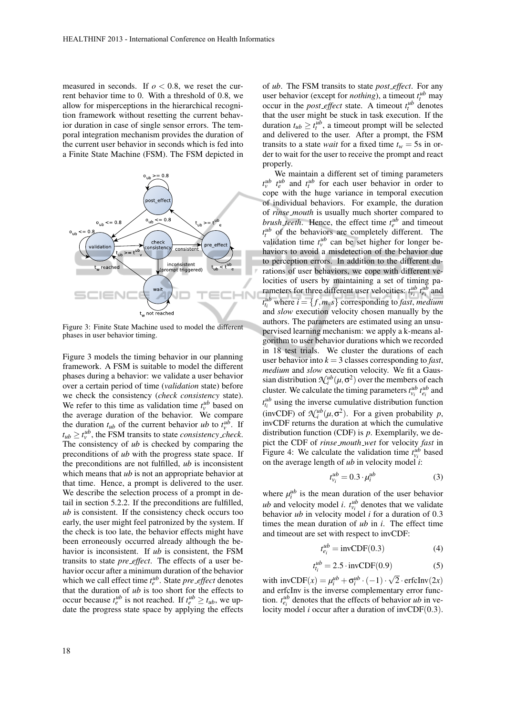measured in seconds. If  $o < 0.8$ , we reset the current behavior time to 0. With a threshold of 0.8, we allow for misperceptions in the hierarchical recognition framework without resetting the current behavior duration in case of single sensor errors. The temporal integration mechanism provides the duration of the current user behavior in seconds which is fed into a Finite State Machine (FSM). The FSM depicted in



Figure 3: Finite State Machine used to model the different phases in user behavior timing.

Figure 3 models the timing behavior in our planning framework. A FSM is suitable to model the different phases during a behavior: we validate a user behavior over a certain period of time (*validation* state) before we check the consistency (*check consistency* state). We refer to this time as validation time  $t_v^{ub}$  based on the average duration of the behavior. We compare the duration  $t_{ub}$  of the current behavior *ub* to  $t_v^{ub}$ . If  $t_{ub} \geq t_v^{ub}$ , the FSM transits to state *consistency check*. The consistency of *ub* is checked by comparing the preconditions of *ub* with the progress state space. If the preconditions are not fulfilled, *ub* is inconsistent which means that *ub* is not an appropriate behavior at that time. Hence, a prompt is delivered to the user. We describe the selection process of a prompt in detail in section 5.2.2. If the preconditions are fulfilled, *ub* is consistent. If the consistency check occurs too early, the user might feel patronized by the system. If the check is too late, the behavior effects might have been erroneously occurred already although the behavior is inconsistent. If *ub* is consistent, the FSM transits to state *pre effect*. The effects of a user behavior occur after a minimum duration of the behavior which we call effect time  $t_e^{ub}$ . State *pre\_effect* denotes that the duration of *ub* is too short for the effects to occur because  $t_e^{ub}$  is not reached. If  $t_e^{ub} \geq t_{ub}$ , we update the progress state space by applying the effects of *ub*. The FSM transits to state *post effect*. For any user behavior (except for *nothing*), a timeout  $t_t^{ub}$  may occur in the *post effect* state. A timeout  $t_t^{ub}$  denotes that the user might be stuck in task execution. If the duration  $t_{ub} \geq t_t^{ub}$ , a timeout prompt will be selected and delivered to the user. After a prompt, the FSM transits to a state *wait* for a fixed time  $t_w = 5s$  in order to wait for the user to receive the prompt and react properly.

We maintain a different set of timing parameters  $t_v^{ub}$   $t_e^{ub}$  and  $t_t^{ub}$  for each user behavior in order to cope with the huge variance in temporal execution of individual behaviors. For example, the duration of *rinse mouth* is usually much shorter compared to *brush teeth.* Hence, the effect time  $t_e^{ub}$  and timeout  $t_t^{ub}$  of the behaviors are completely different. The validation time  $t_v^{ub}$  can be set higher for longer behaviors to avoid a misdetection of the behavior due to perception errors. In addition to the different durations of user behaviors, we cope with different velocities of users by maintaining a set of timing parameters for three different user velocities:  $t_{v_i}^{ub} t_{e_i}^{ub}$  and  $t_{t_i}^{ub}$  where  $i = \{f, m, s\}$  corresponding to *fast*, *medium* and *slow* execution velocity chosen manually by the authors. The parameters are estimated using an unsupervised learning mechanism: we apply a k-means algorithm to user behavior durations which we recorded in 18 test trials. We cluster the durations of each user behavior into  $k = 3$  classes corresponding to *fast*, *medium* and *slow* execution velocity. We fit a Gaussian distribution  $\mathcal{N}_i^{ub}(\mu, \sigma^2)$  over the members of each cluster. We calculate the timing parameters  $t_{v_i}^{ub} t_{e_i}^{ub}$  and  $t_{t_i}^{ub}$  using the inverse cumulative distribution function (invCDF) of  $\mathcal{N}_i^{ub}(\mu, \sigma^2)$ . For a given probability *p*, invCDF returns the duration at which the cumulative distribution function (CDF) is *p*. Exemplarily, we depict the CDF of *rinse mouth wet* for velocity *fast* in Figure 4: We calculate the validation time  $t_{v_i}^{ub}$  based on the average length of *ub* in velocity model *i*:

$$
t_{v_i}^{ub} = 0.3 \cdot \mu_i^{ub} \tag{3}
$$

where  $\mu_i^{ub}$  is the mean duration of the user behavior *ub* and velocity model *i*.  $t_{v_i}^{ub}$  denotes that we validate behavior *ub* in velocity model *i* for a duration of 0.3 times the mean duration of *ub* in *i*. The effect time and timeout are set with respect to invCDF:

$$
t_{e_i}^{ub} = invCDF(0.3)
$$
 (4)

$$
t_{t_i}^{ub} = 2.5 \cdot invCDF(0.9)
$$
 (5)

with  $\text{invCDF}(x) = \mu_i^{ub} + \sigma_i^{ub} \cdot (-1) \cdot$  $2 \cdot \text{erfcInv}(2x)$ and erfcInv is the inverse complementary error function.  $t_{e_i}^{ub}$  denotes that the effects of behavior *ub* in velocity model *i* occur after a duration of invCDF(0.3).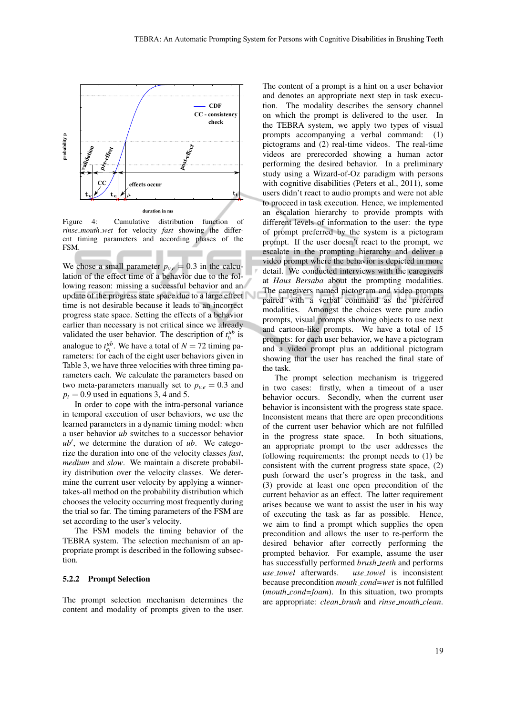

Figure 4: Cumulative distribution function of *rinse mouth wet* for velocity *fast* showing the different timing parameters and according phases of the FSM.

We chose a small parameter  $p_{v,e} = 0.3$  in the calculation of the effect time of a behavior due to the following reason: missing a successful behavior and an update of the progress state space due to a large effect time is not desirable because it leads to an incorrect progress state space. Setting the effects of a behavior earlier than necessary is not critical since we already validated the user behavior. The description of  $t_{t_i}^{ub}$  is analogue to  $t_{e_i}^{ub}$ . We have a total of  $N = 72$  timing parameters: for each of the eight user behaviors given in Table 3, we have three velocities with three timing parameters each. We calculate the parameters based on two meta-parameters manually set to  $p_{v,e} = 0.3$  and  $p_t = 0.9$  used in equations 3, 4 and 5.

In order to cope with the intra-personal variance in temporal execution of user behaviors, we use the learned parameters in a dynamic timing model: when a user behavior *ub* switches to a successor behavior ub', we determine the duration of ub. We categorize the duration into one of the velocity classes *fast*, *medium* and *slow*. We maintain a discrete probability distribution over the velocity classes. We determine the current user velocity by applying a winnertakes-all method on the probability distribution which chooses the velocity occurring most frequently during the trial so far. The timing parameters of the FSM are set according to the user's velocity.

The FSM models the timing behavior of the TEBRA system. The selection mechanism of an appropriate prompt is described in the following subsection.

#### 5.2.2 Prompt Selection

The prompt selection mechanism determines the content and modality of prompts given to the user.

The content of a prompt is a hint on a user behavior and denotes an appropriate next step in task execution. The modality describes the sensory channel on which the prompt is delivered to the user. In the TEBRA system, we apply two types of visual prompts accompanying a verbal command: (1) pictograms and (2) real-time videos. The real-time videos are prerecorded showing a human actor performing the desired behavior. In a preliminary study using a Wizard-of-Oz paradigm with persons with cognitive disabilities (Peters et al., 2011), some users didn't react to audio prompts and were not able to proceed in task execution. Hence, we implemented an escalation hierarchy to provide prompts with different levels of information to the user: the type of prompt preferred by the system is a pictogram prompt. If the user doesn't react to the prompt, we escalate in the prompting hierarchy and deliver a video prompt where the behavior is depicted in more detail. We conducted interviews with the caregivers at *Haus Bersaba* about the prompting modalities. The caregivers named pictogram and video prompts paired with a verbal command as the preferred modalities. Amongst the choices were pure audio prompts, visual prompts showing objects to use next and cartoon-like prompts. We have a total of 15 prompts: for each user behavior, we have a pictogram and a video prompt plus an additional pictogram showing that the user has reached the final state of the task.

The prompt selection mechanism is triggered in two cases: firstly, when a timeout of a user behavior occurs. Secondly, when the current user behavior is inconsistent with the progress state space. Inconsistent means that there are open preconditions of the current user behavior which are not fulfilled in the progress state space. In both situations, an appropriate prompt to the user addresses the following requirements: the prompt needs to (1) be consistent with the current progress state space, (2) push forward the user's progress in the task, and (3) provide at least one open precondition of the current behavior as an effect. The latter requirement arises because we want to assist the user in his way of executing the task as far as possible. Hence, we aim to find a prompt which supplies the open precondition and allows the user to re-perform the desired behavior after correctly performing the prompted behavior. For example, assume the user has successfully performed *brush teeth* and performs *use towel* afterwards. *use towel* is inconsistent because precondition *mouth cond=wet* is not fulfilled (*mouth cond=foam*). In this situation, two prompts are appropriate: *clean brush* and *rinse mouth clean*.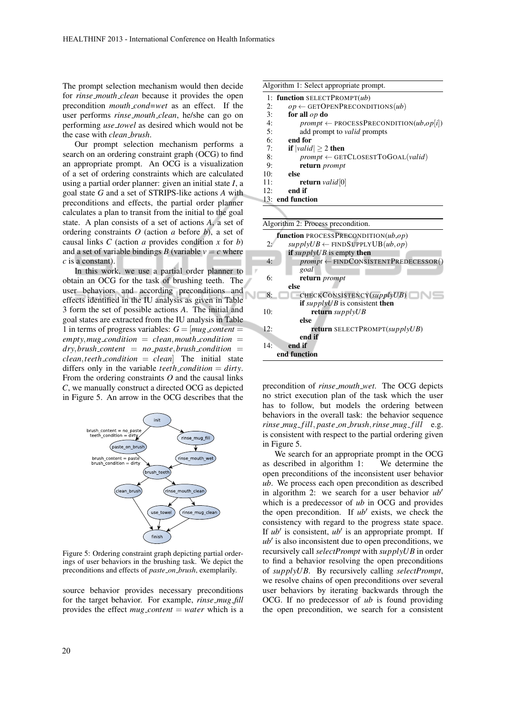The prompt selection mechanism would then decide for *rinse mouth clean* because it provides the open precondition *mouth cond=wet* as an effect. If the user performs *rinse mouth clean*, he/she can go on performing *use towel* as desired which would not be the case with *clean brush*.

Our prompt selection mechanism performs a search on an ordering constraint graph (OCG) to find an appropriate prompt. An OCG is a visualization of a set of ordering constraints which are calculated using a partial order planner: given an initial state *I*, a goal state *G* and a set of STRIPS-like actions *A* with preconditions and effects, the partial order planner calculates a plan to transit from the initial to the goal state. A plan consists of a set of actions *A*, a set of ordering constraints *O* (action *a* before *b*), a set of causal links *C* (action *a* provides condition *x* for *b*) and a set of variable bindings *B* (variable  $v = c$  where *c* is a constant).

In this work, we use a partial order planner to obtain an OCG for the task of brushing teeth. The user behaviors and according preconditions and effects identified in the IU analysis as given in Table 3 form the set of possible actions *A*. The initial and goal states are extracted from the IU analysis in Table 1 in terms of progress variables:  $G = [mug\_content =$  $empty, may\_condition = clean, mouth\_condition =$ *dry*,*brush content* = *no paste*,*brush condition* = *clean*,*teeth condition* = *clean*] The initial state differs only in the variable *teeth condition* = *dirty*. From the ordering constraints *O* and the causal links *C*, we manually construct a directed OCG as depicted in Figure 5. An arrow in the OCG describes that the



Figure 5: Ordering constraint graph depicting partial orderings of user behaviors in the brushing task. We depict the preconditions and effects of *paste on brush*, exemplarily.

source behavior provides necessary preconditions for the target behavior. For example, *rinse mug fill* provides the effect *mug content* = *water* which is a

|     | Algorithm 1: Select appropriate prompt.            |
|-----|----------------------------------------------------|
| 1:  | <b>function</b> SELECTPROMPT $(ub)$                |
| 2:  | $op \leftarrow$ GETOPENPRECONDITIONS $(ub)$        |
| 3:  | for all $op$ do                                    |
| 4:  | $prompt \leftarrow PROCESSPRECONDITION(ub, op[i])$ |
| 5:  | add prompt to <i>valid</i> prompts                 |
| 6:  | end for                                            |
| 7:  | if $ valid  \geq 2$ then                           |
| 8:  | $prompt \leftarrow GETCLOSESTTOGOAL(valid)$        |
| 9:  | return prompt                                      |
| 10: | else                                               |
| 11: | <b>return</b> <i>valid</i> [0]                     |
| 12: | end if                                             |
| 13: | end function                                       |
|     |                                                    |
|     | Algorithm 2: Process precondition.                 |
|     |                                                    |
|     | function PROCESSPRECONDITION( $ub, op$ )           |
| 2:  | $supplyUB \leftarrow FINDSUPPLYUB(ub, op)$         |
|     | <b>if</b> supplyUB is empty <b>then</b>            |
| 4:  | $prompt \leftarrow FINDCONSISTENTPREDECESSOR()$    |
|     | goal                                               |
| 6:  | return prompt                                      |
|     | else                                               |
| 8:  | CHECKCONSISTENCY(supplyUB)                         |
|     | if $supplyUB$ is consistent then                   |
| 10: | return supplyUB                                    |
|     | else                                               |
| 12: | <b>return</b> SELECTPROMPT(supplyUB)               |
|     | end if                                             |
| 14: | end if                                             |
|     | end function                                       |

precondition of *rinse mouth wet*. The OCG depicts no strict execution plan of the task which the user has to follow, but models the ordering between behaviors in the overall task: the behavior sequence *rinse mug fill*, *paste on brush*,*rinse mug fill* e.g. is consistent with respect to the partial ordering given in Figure 5.

We search for an appropriate prompt in the OCG as described in algorithm 1: We determine the open preconditions of the inconsistent user behavior *ub*. We process each open precondition as described in algorithm 2: we search for a user behavior  $ub'$ which is a predecessor of *ub* in OCG and provides the open precondition. If  $ub'$  exists, we check the consistency with regard to the progress state space. If  $ub'$  is consistent,  $ub'$  is an appropriate prompt. If  $ub'$  is also inconsistent due to open preconditions, we recursively call *selectPrompt* with *supplyUB* in order to find a behavior resolving the open preconditions of *supplyUB*. By recursively calling *selectPrompt*, we resolve chains of open preconditions over several user behaviors by iterating backwards through the OCG. If no predecessor of *ub* is found providing the open precondition, we search for a consistent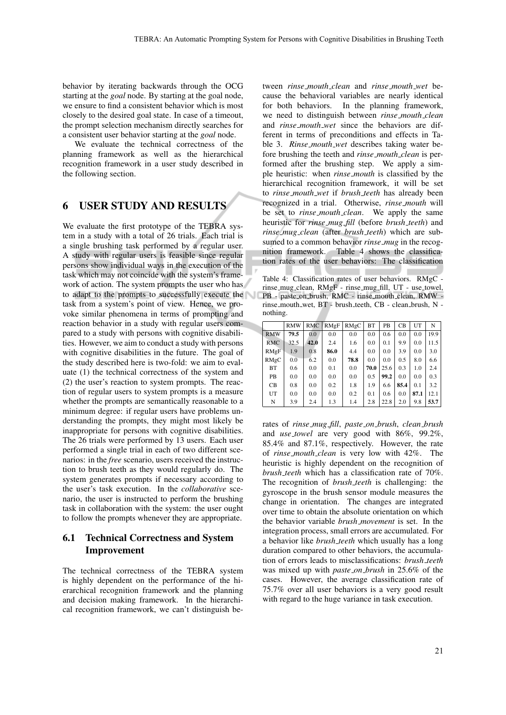behavior by iterating backwards through the OCG starting at the *goal* node. By starting at the goal node, we ensure to find a consistent behavior which is most closely to the desired goal state. In case of a timeout, the prompt selection mechanism directly searches for a consistent user behavior starting at the *goal* node.

We evaluate the technical correctness of the planning framework as well as the hierarchical recognition framework in a user study described in the following section.

# 6 USER STUDY AND RESULTS

We evaluate the first prototype of the TEBRA system in a study with a total of 26 trials. Each trial is a single brushing task performed by a regular user. A study with regular users is feasible since regular persons show individual ways in the execution of the task which may not coincide with the system's framework of action. The system prompts the user who has to adapt to the prompts to successfully execute the task from a system's point of view. Hence, we provoke similar phenomena in terms of prompting and reaction behavior in a study with regular users compared to a study with persons with cognitive disabilities. However, we aim to conduct a study with persons with cognitive disabilities in the future. The goal of the study described here is two-fold: we aim to evaluate (1) the technical correctness of the system and (2) the user's reaction to system prompts. The reaction of regular users to system prompts is a measure whether the prompts are semantically reasonable to a minimum degree: if regular users have problems understanding the prompts, they might most likely be inappropriate for persons with cognitive disabilities. The 26 trials were performed by 13 users. Each user performed a single trial in each of two different scenarios: in the *free* scenario, users received the instruction to brush teeth as they would regularly do. The system generates prompts if necessary according to the user's task execution. In the *collaborative* scenario, the user is instructed to perform the brushing task in collaboration with the system: the user ought to follow the prompts whenever they are appropriate.

# 6.1 Technical Correctness and System Improvement

The technical correctness of the TEBRA system is highly dependent on the performance of the hierarchical recognition framework and the planning and decision making framework. In the hierarchical recognition framework, we can't distinguish between *rinse mouth clean* and *rinse mouth wet* because the behavioral variables are nearly identical for both behaviors. In the planning framework, we need to distinguish between *rinse mouth clean* and *rinse mouth wet* since the behaviors are different in terms of preconditions and effects in Table 3. *Rinse mouth wet* describes taking water before brushing the teeth and *rinse mouth clean* is performed after the brushing step. We apply a simple heuristic: when *rinse mouth* is classified by the hierarchical recognition framework, it will be set to *rinse mouth wet* if *brush teeth* has already been recognized in a trial. Otherwise, *rinse mouth* will be set to *rinse mouth clean*. We apply the same heuristic for *rinse mug fill* (before *brush teeth*) and *rinse mug clean* (after *brush teeth*) which are subsumed to a common behavior *rinse mug* in the recognition framework. Table 4 shows the classification rates of the user behaviors: The classification

Table 4: Classification rates of user behaviors. RMgC rinse mug clean, RMgF - rinse mug fill, UT - use towel, PB - paste on brush, RMC - rinse mouth clean, RMW rinse mouth wet, BT - brush teeth, CB - clean brush, N nothing.

|            | <b>RMW</b> | <b>RMC</b> | $\vert$ RMgF | RMgC | <b>BT</b> | PB   | CB   | UT   | N    |
|------------|------------|------------|--------------|------|-----------|------|------|------|------|
| <b>RMW</b> | 79.5       | 0.0        | 0.0          | 0.0  | 0.0       | 0.6  | 0.0  | 0.0  | 19.9 |
| <b>RMC</b> | 32.5       | 42.0       | 2.4          | 1.6  | 0.0       | 0.1  | 9.9  | 0.0  | 11.5 |
| RMgF       | 1.9        | 0.8        | 86.0         | 4.4  | 0.0       | 0.0  | 3.9  | 0.0  | 3.0  |
| RMgC       | 0.0        | 6.2        | 0.0          | 78.8 | 0.0       | 0.0  | 0.5  | 8.0  | 6.6  |
| <b>BT</b>  | 0.6        | 0.0        | 0.1          | 0.0  | 70.0      | 25.6 | 0.3  | 1.0  | 2.4  |
| PB         | 0.0        | 0.0        | 0.0          | 0.0  | 0.5       | 99.2 | 0.0  | 0.0  | 0.3  |
| CB         | 0.8        | 0.0        | 0.2          | 1.8  | 1.9       | 6.6  | 85.4 | 0.1  | 3.2  |
| UT         | 0.0        | 0.0        | 0.0          | 0.2  | 0.1       | 0.6  | 0.0  | 87.1 | 12.1 |
| N          | 3.9        | 2.4        | 1.3          | 1.4  | 2.8       | 22.8 | 2.0  | 9.8  | 53.7 |

rates of *rinse mug fill*, *paste on brush*, *clean brush* and *use towel* are very good with 86%, 99.2%, 85.4% and 87.1%, respectively. However, the rate of *rinse mouth clean* is very low with 42%. The heuristic is highly dependent on the recognition of *brush teeth* which has a classification rate of 70%. The recognition of *brush teeth* is challenging: the gyroscope in the brush sensor module measures the change in orientation. The changes are integrated over time to obtain the absolute orientation on which the behavior variable *brush movement* is set. In the integration process, small errors are accumulated. For a behavior like *brush teeth* which usually has a long duration compared to other behaviors, the accumulation of errors leads to misclassifications: *brush teeth* was mixed up with *paste on brush* in 25.6% of the cases. However, the average classification rate of 75.7% over all user behaviors is a very good result with regard to the huge variance in task execution.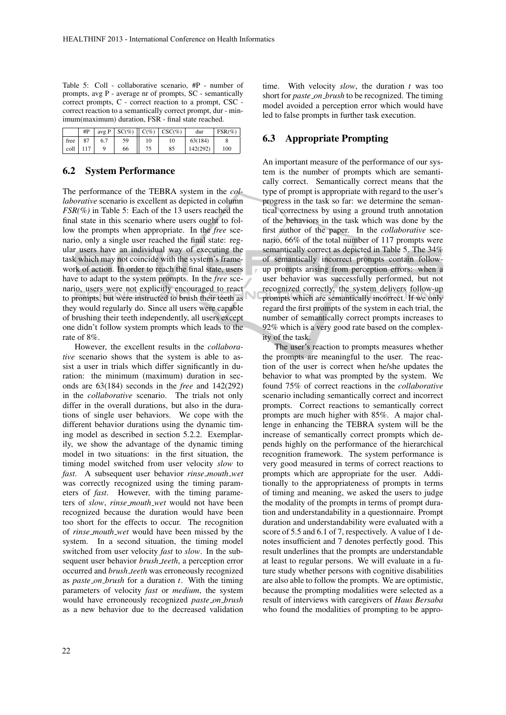Table 5: Coll - collaborative scenario, #P - number of prompts, avg P - average nr of prompts, SC - semantically correct prompts, C - correct reaction to a prompt, CSC correct reaction to a semantically correct prompt, dur - minimum(maximum) duration, FSR - final state reached.

|      | #P  |     |    | $\alpha$ avg P   SC(%)    C(%)   CSC(%) | dur      | $FSR(\%)$ |
|------|-----|-----|----|-----------------------------------------|----------|-----------|
| free | 87  | 6.7 | 59 | 10                                      | 63(184)  |           |
| coll | 117 |     | 66 | 85                                      | 142(292) | 100       |

### 6.2 System Performance

The performance of the TEBRA system in the *collaborative* scenario is excellent as depicted in column *FSR(%)* in Table 5: Each of the 13 users reached the final state in this scenario where users ought to follow the prompts when appropriate. In the *free* scenario, only a single user reached the final state: regular users have an individual way of executing the task which may not coincide with the system's framework of action. In order to reach the final state, users have to adapt to the system prompts. In the *free* scenario, users were not explicitly encouraged to react to prompts, but were instructed to brush their teeth as they would regularly do. Since all users were capable of brushing their teeth independently, all users except one didn't follow system prompts which leads to the rate of 8%.

However, the excellent results in the *collaborative* scenario shows that the system is able to assist a user in trials which differ significantly in duration: the minimum (maximum) duration in seconds are 63(184) seconds in the *free* and 142(292) in the *collaborative* scenario. The trials not only differ in the overall durations, but also in the durations of single user behaviors. We cope with the different behavior durations using the dynamic timing model as described in section 5.2.2. Exemplarily, we show the advantage of the dynamic timing model in two situations: in the first situation, the timing model switched from user velocity *slow* to *fast*. A subsequent user behavior *rinse mouth wet* was correctly recognized using the timing parameters of *fast*. However, with the timing parameters of *slow*, *rinse mouth wet* would not have been recognized because the duration would have been too short for the effects to occur. The recognition of *rinse mouth wet* would have been missed by the system. In a second situation, the timing model switched from user velocity *fast* to *slow*. In the subsequent user behavior *brush teeth*, a perception error occurred and *brush teeth* was erroneously recognized as *paste on brush* for a duration *t*. With the timing parameters of velocity *fast* or *medium*, the system would have erroneously recognized *paste on brush* as a new behavior due to the decreased validation time. With velocity *slow*, the duration *t* was too short for *paste on brush* to be recognized. The timing model avoided a perception error which would have led to false prompts in further task execution.

### 6.3 Appropriate Prompting

An important measure of the performance of our system is the number of prompts which are semantically correct. Semantically correct means that the type of prompt is appropriate with regard to the user's progress in the task so far: we determine the semantical correctness by using a ground truth annotation of the behaviors in the task which was done by the first author of the paper. In the *collaborative* scenario, 66% of the total number of 117 prompts were semantically correct as depicted in Table 5. The 34% of semantically incorrect prompts contain followup prompts arising from perception errors: when a user behavior was successfully performed, but not recognized correctly, the system delivers follow-up prompts which are semantically incorrect. If we only regard the first prompts of the system in each trial, the number of semantically correct prompts increases to 92% which is a very good rate based on the complexity of the task.

The user's reaction to prompts measures whether the prompts are meaningful to the user. The reaction of the user is correct when he/she updates the behavior to what was prompted by the system. We found 75% of correct reactions in the *collaborative* scenario including semantically correct and incorrect prompts. Correct reactions to semantically correct prompts are much higher with 85%. A major challenge in enhancing the TEBRA system will be the increase of semantically correct prompts which depends highly on the performance of the hierarchical recognition framework. The system performance is very good measured in terms of correct reactions to prompts which are appropriate for the user. Additionally to the appropriateness of prompts in terms of timing and meaning, we asked the users to judge the modality of the prompts in terms of prompt duration and understandability in a questionnaire. Prompt duration and understandability were evaluated with a score of 5.5 and 6.1 of 7, respectively. A value of 1 denotes insufficient and 7 denotes perfectly good. This result underlines that the prompts are understandable at least to regular persons. We will evaluate in a future study whether persons with cognitive disabilities are also able to follow the prompts. We are optimistic, because the prompting modalities were selected as a result of interviews with caregivers of *Haus Bersaba* who found the modalities of prompting to be appro